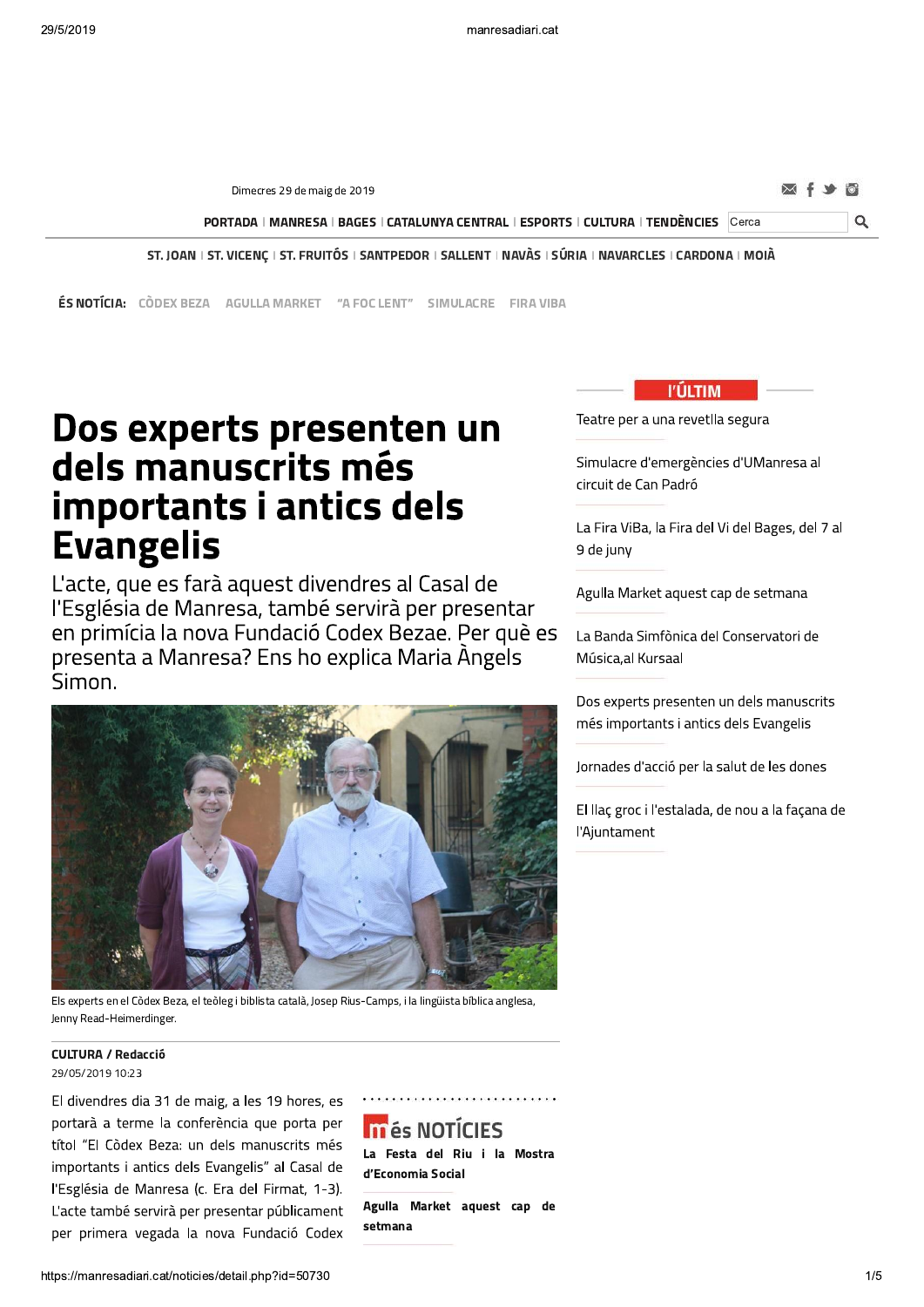Dimecres 29 de maig de 2019

Q

PORTADA | MANRESA | BAGES | CATALUNYA CENTRAL | ESPORTS | CULTURA | TENDÈNCIES Cerca

ST. JOAN | ST. VICENÇ | ST. FRUITÓS | SANTPEDOR | SALLENT | NAVÀS | SÚRIA | NAVARCLES | CARDONA | MOIÀ

**ÉS NOTÍCIA:** CÒDEX BEZA AGULLA MARKET "A FOC LENT" SIMULACRE FIRA VIBA

# Dos experts presenten un dels manuscrits més importants i antics dels **Evangelis**

L'acte, que es farà aquest divendres al Casal de l'Església de Manresa, també servirà per presentar en primícia la nova Fundació Codex Bezae. Per què es presenta a Manresa? Ens ho explica Maria Àngels Simon.



Els experts en el Còdex Beza, el teòleg i biblista català, Josep Rius-Camps, i la lingüista bíblica anglesa, Jenny Read-Heimerdinger.

#### **CULTURA / Redacció** 29/05/2019 10:23

El divendres dia 31 de maig, a les 19 hores, es portarà a terme la conferència que porta per títol "El Còdex Beza: un dels manuscrits més importants i antics dels Evangelis" al Casal de l'Església de Manresa (c. Era del Firmat, 1-3). L'acte també servirà per presentar públicament per primera vegada la nova Fundació Codex

# **In és NOTÍCIES**

La Festa del Riu i la Mostra d'Economia Social

Agulla Market aquest cap de setmana



Teatre per a una revetlla segura

Simulacre d'emergències d'UManresa al circuit de Can Padró

La Fira ViBa, la Fira del Vi del Bages, del 7 al 9 de juny

Agulla Market aquest cap de setmana

La Banda Simfònica del Conservatori de Música, al Kursaal

Dos experts presenten un dels manuscrits més importants i antics dels Evangelis

Jornades d'acció per la salut de les dones

El llaç groc i l'estalada, de nou a la façana de l'Ajuntament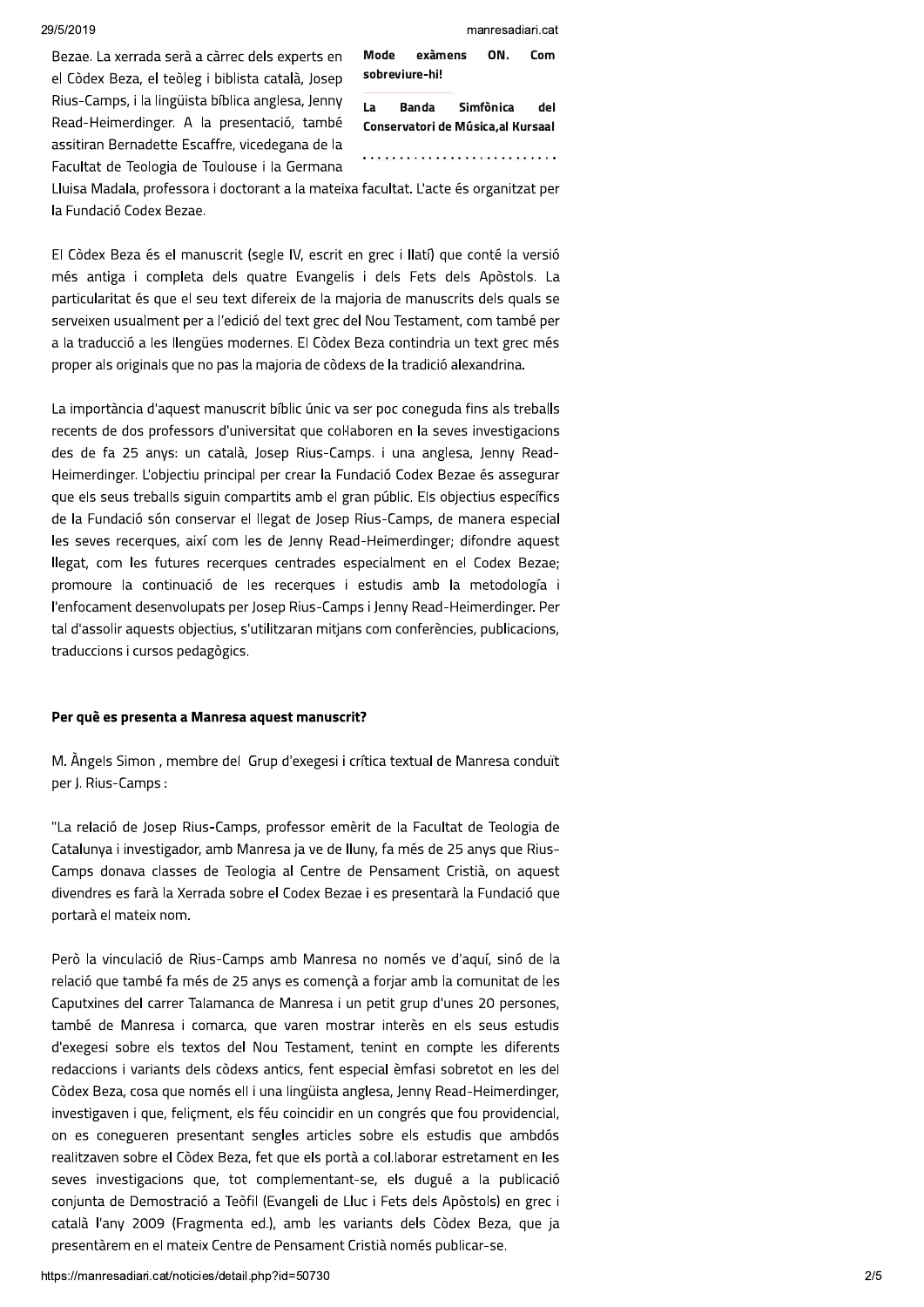Com

ON.

Bezae. La xerrada serà a càrrec dels experts en el Còdex Beza, el teòleg i biblista català, Josep Rius-Camps, i la lingüista bíblica anglesa, Jenny Read-Heimerdinger. A la presentació, també assitiran Bernadette Escaffre, vicedegana de la Facultat de Teologia de Toulouse i la Germana

sobreviure-hi! **Banda**  $\overline{1}$ Simfònica del Conservatori de Música, al Kursaal

.<br>The contract of the contract of the contract of the contract of the contract of the contract of the contract of

exàmens

Mode

Lluisa Madala, professora i doctorant a la mateixa facultat. L'acte és organitzat per la Fundació Codex Bezae.

El Còdex Beza és el manuscrit (segle IV, escrit en grec i llatí) que conté la versió més antiga i completa dels quatre Evangelis i dels Fets dels Apòstols. La particularitat és que el seu text difereix de la majoria de manuscrits dels quals se serveixen usualment per a l'edició del text grec del Nou Testament, com també per a la traducció a les llengües modernes. El Còdex Beza contindria un text grec més proper als originals que no pas la majoria de còdexs de la tradició alexandrina.

La importància d'aquest manuscrit bíblic únic va ser poc coneguda fins als treballs recents de dos professors d'universitat que col·laboren en la seves investigacions des de fa 25 anys: un català, Josep Rius-Camps, i una anglesa, Jenny Read-Heimerdinger. L'objectiu principal per crear la Fundació Codex Bezae és assegurar que els seus treballs siguin compartits amb el gran públic. Els objectius específics de la Fundació són conservar el llegat de Josep Rius-Camps, de manera especial les seves recerques, així com les de Jenny Read-Heimerdinger; difondre aquest llegat, com les futures recerques centrades especialment en el Codex Bezae; promoure la continuació de les recerques i estudis amb la metodología i l'enfocament desenvolupats per Josep Rius-Camps i Jenny Read-Heimerdinger. Per tal d'assolir aquests objectius, s'utilitzaran mitjans com conferències, publicacions, traduccions i cursos pedagògics.

### Per què es presenta a Manresa aquest manuscrit?

M. Àngels Simon, membre del Grup d'exegesi i crítica textual de Manresa conduït per J. Rius-Camps:

"La relació de Josep Rius-Camps, professor emèrit de la Facultat de Teologia de Catalunya i investigador, amb Manresa ja ve de lluny, fa més de 25 anys que Rius-Camps donava classes de Teologia al Centre de Pensament Cristià, on aquest divendres es farà la Xerrada sobre el Codex Bezae i es presentarà la Fundació que portarà el mateix nom.

Però la vinculació de Rius-Camps amb Manresa no només ve d'aguí, sinó de la relació que també fa més de 25 anys es començà a foriar amb la comunitat de les Caputxines del carrer Talamanca de Manresa i un petit grup d'unes 20 persones, també de Manresa i comarca, que varen mostrar interès en els seus estudis d'exegesi sobre els textos del Nou Testament, tenint en compte les diferents redaccions i variants dels còdexs antics, fent especial èmfasi sobretot en les del Còdex Beza, cosa que només ell i una lingüista anglesa, Jenny Read-Heimerdinger, investigaven i que, feliçment, els féu coincidir en un congrés que fou providencial, on es conegueren presentant sengles articles sobre els estudis que ambdós realitzaven sobre el Còdex Beza, fet que els portà a col. laborar estretament en les seves investigacions que, tot complementant-se, els dugué a la publicació conjunta de Demostració a Teòfil (Evangeli de Lluc i Fets dels Apòstols) en grec i català l'any 2009 (Fragmenta ed.), amb les variants dels Còdex Beza, que ja presentàrem en el mateix Centre de Pensament Cristià només publicar-se.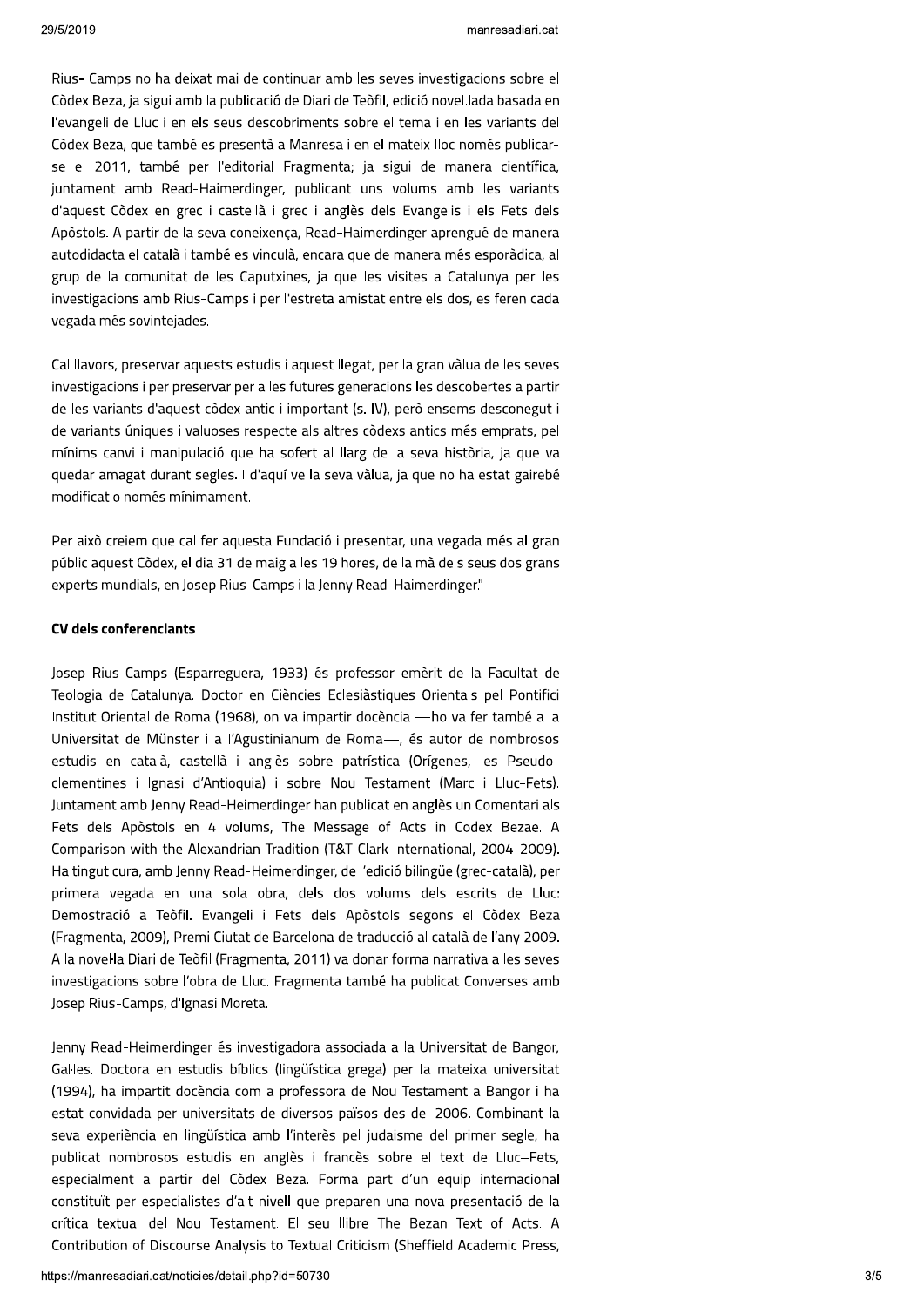Rius- Camps no ha deixat mai de continuar amb les seves investigacions sobre el Còdex Beza, ja sigui amb la publicació de Diari de Teòfil, edició novel, lada basada en l'evangeli de Lluc i en els seus descobriments sobre el tema i en les variants del Còdex Beza, que també es presentà a Manresa i en el mateix lloc només publicarse el 2011, també per l'editorial Fragmenta; ja sigui de manera científica, juntament amb Read-Haimerdinger, publicant uns volums amb les variants d'aquest Còdex en grec i castellà i grec i anglès dels Evangelis i els Fets dels Apòstols. A partir de la seva coneixenca, Read-Haimerdinger aprengué de manera autodidacta el català i també es vinculà, encara que de manera més esporàdica, al grup de la comunitat de les Caputxines, ja que les visites a Catalunya per les investigacions amb Rius-Camps i per l'estreta amistat entre els dos, es feren cada vegada més sovintejades.

Cal llavors, preservar aquests estudis i aquest llegat, per la gran vàlua de les seves investigacions i per preservar per a les futures generacions les descobertes a partir de les variants d'aquest còdex antic i important (s. IV), però ensems desconegut i de variants úniques i valuoses respecte als altres còdexs antics més emprats, pel mínims canvi i manipulació que ha sofert al llarg de la seva història, ja que va quedar amagat durant segles. I d'aquí ve la seva vàlua, ja que no ha estat gairebé modificat o només mínimament.

Per això creiem que cal fer aquesta Fundació i presentar, una vegada més al gran públic aquest Còdex, el dia 31 de maig a les 19 hores, de la mà dels seus dos grans experts mundials, en Josep Rius-Camps i la Jenny Read-Haimerdinger."

#### **CV dels conferenciants**

Josep Rius-Camps (Esparreguera, 1933) és professor emèrit de la Facultat de Teologia de Catalunya. Doctor en Ciències Eclesiàstiques Orientals pel Pontifici Institut Oriental de Roma (1968), on va impartir docència - ho va fer també a la Universitat de Münster i a l'Agustinianum de Roma-, és autor de nombrosos estudis en català, castellà i anglès sobre patrística (Orígenes, les Pseudoclementines i Ignasi d'Antioquia) i sobre Nou Testament (Marc i Lluc-Fets). Juntament amb Jenny Read-Heimerdinger han publicat en anglès un Comentari als Fets dels Apòstols en 4 volums, The Message of Acts in Codex Bezae. A Comparison with the Alexandrian Tradition (T&T Clark International, 2004-2009). Ha tingut cura, amb Jenny Read-Heimerdinger, de l'edició bilingüe (grec-català), per primera vegada en una sola obra, dels dos volums dels escrits de Lluc: Demostració a Teòfil. Evangeli i Fets dels Apòstols segons el Còdex Beza (Fragmenta, 2009), Premi Ciutat de Barcelona de traducció al català de l'any 2009. A la novel·la Diari de Teòfil (Fragmenta, 2011) va donar forma narrativa a les seves investigacions sobre l'obra de Lluc. Fragmenta també ha publicat Converses amb Josep Rius-Camps, d'Ignasi Moreta.

Jenny Read-Heimerdinger és investigadora associada a la Universitat de Bangor, Gal·les. Doctora en estudis bíblics (lingüística grega) per la mateixa universitat (1994), ha impartit docència com a professora de Nou Testament a Bangor i ha estat convidada per universitats de diversos països des del 2006. Combinant la seva experiència en lingüística amb l'interès pel judaisme del primer segle, ha publicat nombrosos estudis en anglès i francès sobre el text de Lluc-Fets, especialment a partir del Còdex Beza. Forma part d'un equip internacional constituït per especialistes d'alt nivell que preparen una nova presentació de la crítica textual del Nou Testament. El seu llibre The Bezan Text of Acts. A Contribution of Discourse Analysis to Textual Criticism (Sheffield Academic Press,